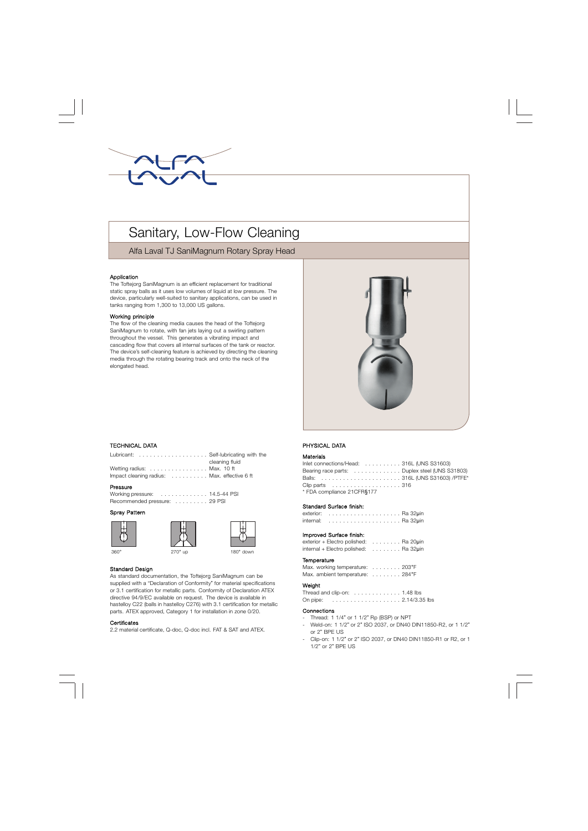

# Sanitary, Low-Flow Cleaning

Alfa Laval TJ SaniMagnum Rotary Spray Head

#### Application

The Toftejorg SaniMagnum is an efficient replacement for traditional static spray balls as it uses low volumes of liquid at low pressure. The device, particularly well-suited to sanitary applications, can be used in tanks ranging from 1,300 to 13,000 US gallons.

#### Working principle

The flow of the cleaning media causes the head of the Toftejorg SaniMagnum to rotate, with fan jets laying out a swirling pattern throughout the vessel. This generates a vibrating impact and cascading flow that covers all internal surfaces of the tank or reactor. The device's self-cleaning feature is achieved by directing the cleaning media through the rotating bearing track and onto the neck of the elongated head.



## . TECHNICAL DATA

| Lubricant: Self-lubricating with the |                   |
|--------------------------------------|-------------------|
|                                      | cleaning fluid    |
| $Mo$ <sup>tting</sup> radius:        | $M_{\odot}$ 10 ft |

Wetting radius: . . . . . . . . . . . . . . . Max. 10 ft Impact cleaning radius: . . . . . . . . . . Max. effective 6 ft

# Pressure

Working pressure: . . . . . . . . . . . . . 14.5-44 PSI Recommended pressure: . . . . . . . . . 29 PSI

# Spray Pattern







# Standard Design

As standard documentation, the Toftejorg SaniMagnum can be supplied with a "Declaration of Conformity" for material specifications or 3.1 certification for metallic parts. Conformity of Declaration ATEX directive 94/9/EC available on request. The device is available in hastelloy C22 (balls in hastelloy C276) with 3.1 certification for metallic parts. ATEX approved, Category 1 for installation in zone 0/20.

#### **Certificates**

2.2 material certificate, Q-doc, Q-doc incl. FAT & SAT and ATEX.

## PHYSICAL DATA

#### Materials

Inlet connections/Head: . . . . . . . . . . 316L (UNS S31603) Bearing race parts: . . . . . . . . . . . . . Duplex steel (UNS S31803) Balls: . . . . . . . . . . . . . . . . . . . . . . 316L (UNS S31603) /PTFE\* Clip parts . . . . . . . . . . . . . . . . . . . 316 \* FDA compliance 21CFR§177

### Standard Surface finish:

| internal: |  |  |  |  |  |  |  |  |  |  |  |
|-----------|--|--|--|--|--|--|--|--|--|--|--|

#### Improved Surface finish:

exterior + Electro polished: . . . . . . . . Ra 20uin internal + Electro polished: . . . . . . . . Ra 32µin

#### **Temperature**

Max. working temperature: . . . . . . . . 203°F Max. ambient temperature: . . . . . . . . 284°F

#### Weight

Thread and clip-on: . . . . . . . . . . . . . 1.48 lbs On pipe: . . . . . . . . . . . . . . . . . . . 2.14/3.35 lbs

#### **Connections**

- Thread: 1 1/4" or 1 1/2" Rp (BSP) or NPT
- Weld-on: 1 1/2" or 2" ISO 2037, or DN40 DIN11850-R2, or 1 1/2" or 2" BPE US
- Clip-on: 1 1/2" or 2" ISO 2037, or DN40 DIN11850-R1 or R2, or 1 1/2" or 2" BPE US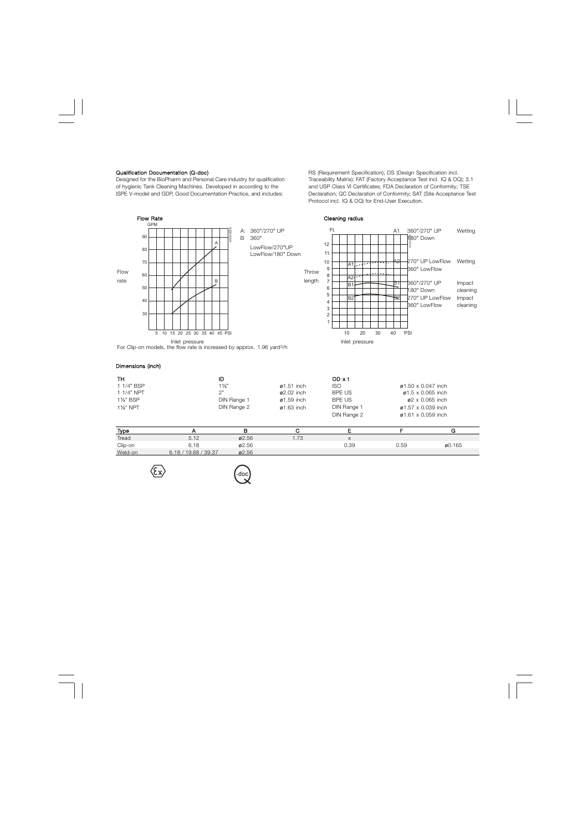#### Qualification Documentation (Q-doc)

Designed for the BioPharm and Personal Care industry for qualification of hygienic Tank Cleaning Machines. Developed in according to the ISPE V-model and GDP, Good Documentation Practice, and includes:

RS (Requirement Specification); DS (Design Specification incl. Traceability Matrix); FAT (Factory Acceptance Test incl. IQ & OQ); 3.1 and USP Class VI Certificates; FDA Declaration of Conformity; TSE Declaration; QC Declaration of Conformity; SAT (Site Acceptance Test Protocol incl. IQ & OQ) for End-User Execution.



| <b>Type</b> |                      | p     |      |        |      |        |
|-------------|----------------------|-------|------|--------|------|--------|
| Tread       | 5.12                 | Ø2.56 | 1.73 | $\sim$ |      |        |
| Clip-on     | 6.18                 | ø2.56 |      | 0.39   | 0.59 | ø0.165 |
| Weld-on     | 6.18 / 19.68 / 39.37 | Ø2.56 |      |        |      |        |